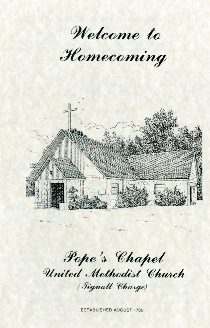Welcome to

Homecoming



Pope's Chapel United Methodist Church (Tignall Charge)

almonance in

 $t_{\rm max}$ 

ESTABLISHED AUGUST 1786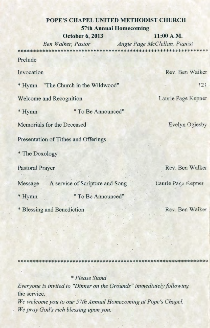# **POPE'S CHAPEL UNITED METHODIST CHURCH 57th Annual Homecoming**

**October 6, 2013** 11:00 A M.

*Ben Walker, Pastor Angie Page McClellan Pianist* 

Prelude

Invocation Rev. Ben Walker

\* Hymn "The Church in the Wildwood" 121

Welcome and Recognition Laurie Page Kepner

\* Hymn " To Be Announced"

Memorials for the Deceased Evelyn Oglesby

Presentation of Tithes and Offerings

\* The Doxology

Message A service of Scripture and Song Laurie Page Kepner

\* Hymn "To Be Announced"

\* Blessing and Benediction Rev. Ben Walker

Pastoral Prayer Rev. Ben Walker

\* Please Stand

Everyone is invited to "Dinner on the Grounds" immediately following the service.

We welcome you to our 57th Annual Homecoming at Pope's Chapel. We pray God's rich blessing upon you.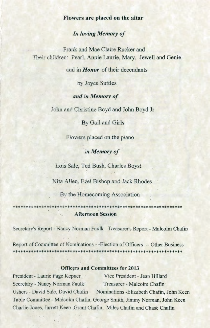### **Flowers are placed on the altar**

# *In loving Memory of*

Frank and Mae Claire Rucker and Their children: Pearl Annie Laurie, Mary, Jewell and Genie

and in *Honor* of their decendants

by Joyce Suttles

*and in Memory of*

John and Christine Boyd and John Boyd Jr

By Gail and Girls

Flowers placed on the piano

*in Memory of*

Lois Sale, Ted Bush. Charles Boyst

Nita Allen, Ezel Bishop and Jack Rhodes

By the Homecoming Association

**Afternoon Session**

Secretary's Report - Nancy Norman Faulk Treasurer's Report - Malcolm Chafin

Report of Committee of Nominations - -Election of Officers — Other Business 

### **Officers and Committees for 2013**

President - Laurie Page Kepner Vice President - Jean Hillard Secretary - Nancy Norman Faulk Treasurer - Malcolm Chafin Ushers - David Sale, David Chafin Nominations - Elizabeth Chafin, John Keen Table Committee - Malcolm Chafin, George Smith, Jimmy Norman, John Keen Charlie Jones, Jarrett Keen, Grant Chafin, Miles Chafin and Chase Chafin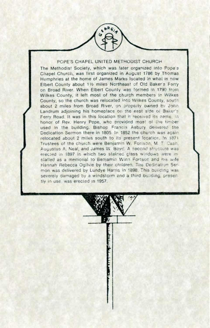#### POPE'S CHAPEL UNITED METHODIST CHURCH

The Methodist Society, which was later organized into Pope s Chapel Church, was first organized in August 1786 by Thomas Humphries at the home of James Marks located in what is now Elbert County about 11/2 miles Northeast of Old Baker's Ferry on Broad River. When Eibert County was formed In 1790 from Wilkes County, it left most of the church members in Wilkes County, so the church was relocated into Wilkes County, south about 2 miles from Broad River, on property owned by John Landrum adjoining his homeplace on the east side of Baker's Ferry Road. It was in this location that it received its name, in honor of Rev. Henry Pope, who provided most of the timber used in the building. Bishop Francis Asbury delivered the Dedication Sermon there in 1805. In 1852 the church was again relocated about 2 miles south to its present location. In 1871 Trustees of the church were Benjamin w. Fortson, M T. Cash. Augustus A. Neal, and James W. Boyd. A second structure was erected in 1897 in which two stained glass windows were in stalled as a memorial to Benjamin Winn Fortson and his wife Hannah Rebecca Ogilvie by their children. The Dedication Sermon was delivered by Lundye Harris in 1898. This building was severely damaged by a windstorm and a third building, presently in use, was erected in 1957.

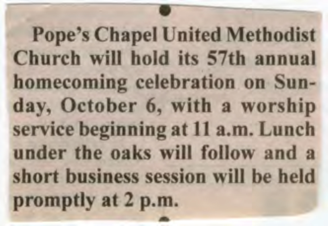**Pope's Chapel United Methodist Church will hold its 57th annual homecoming celebration on Sunday, October 6, with a worship service beginning at 11 a. m. Lunch under the oaks will follow and a short business session will be held promptly at 2 p. m.**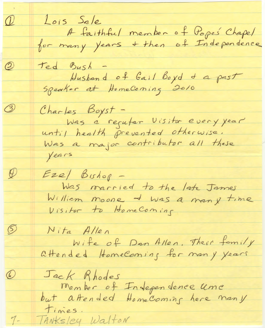Lois Sale<br>A faithful member of Popes Chapel<br>for many years + then of Independence  $\mathcal{Q}$  $\circledB$ Ted Bush -<br>Hushand of Gail Boyd & a past<br>Speaker at HomeComing 2010  $\circled{3}$ Charles Boyst -<br>Was a regutar Visitor every year until health prevented otherwise. Was a major contributor all these years  $\varphi$  $E$ *ze*/ Bishop -Was married to the late James William moone + was a many time Visitor to HomeComing  $\circledS$ *N ita A llen* Wife of Dan Allen, There family attended HomeComing for many years  $\bigcirc$ Jack Rhodes<br>Member of Independence umc<br>but aftended HomeComing here many *Tanksley Walton* $7-$